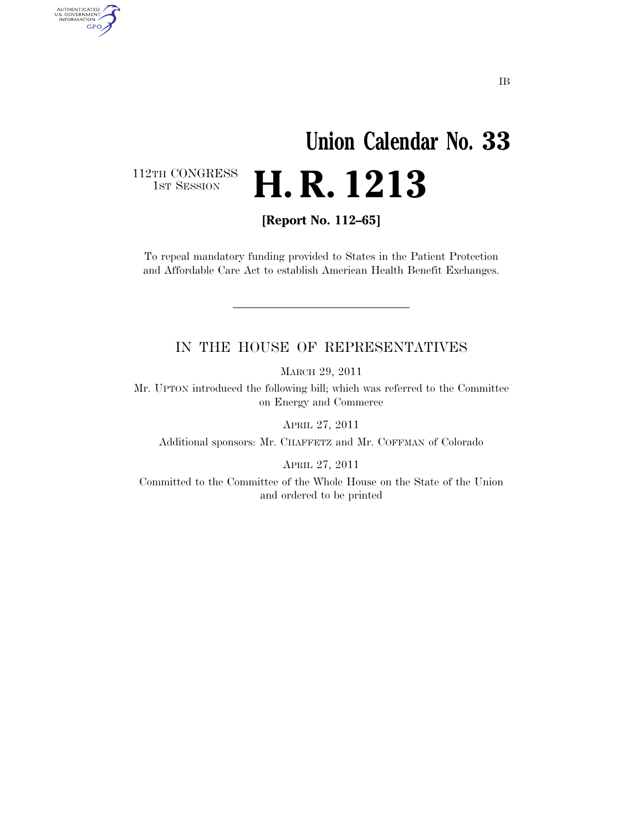## **Union Calendar No. 33**  H. R. 1213

112TH CONGRESS<br>1st Session

AUTHENTICATED<br>U.S. GOVERNMENT<br>INFORMATION GPO

**[Report No. 112–65]** 

To repeal mandatory funding provided to States in the Patient Protection and Affordable Care Act to establish American Health Benefit Exchanges.

## IN THE HOUSE OF REPRESENTATIVES

MARCH 29, 2011

Mr. UPTON introduced the following bill; which was referred to the Committee on Energy and Commerce

APRIL 27, 2011

Additional sponsors: Mr. CHAFFETZ and Mr. COFFMAN of Colorado

APRIL 27, 2011

Committed to the Committee of the Whole House on the State of the Union and ordered to be printed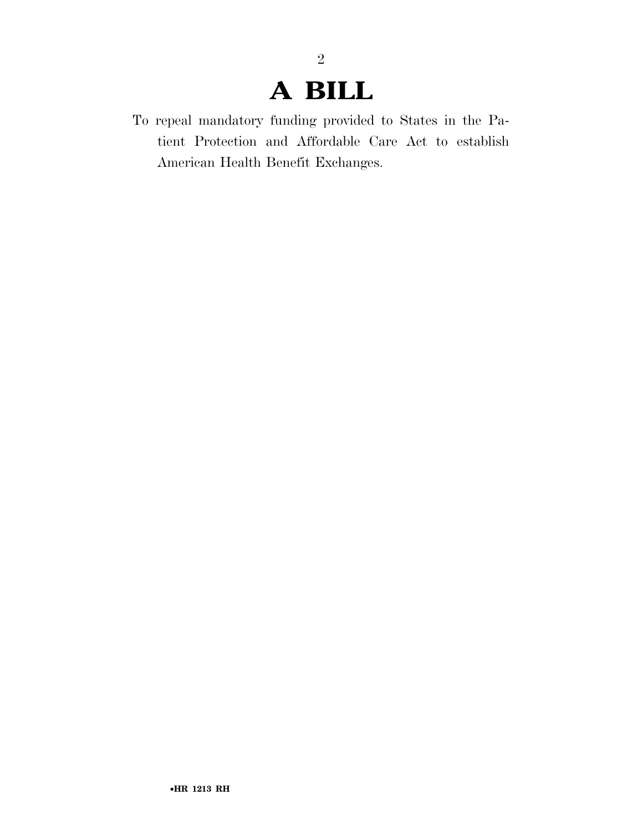## **A BILL**

2

To repeal mandatory funding provided to States in the Patient Protection and Affordable Care Act to establish American Health Benefit Exchanges.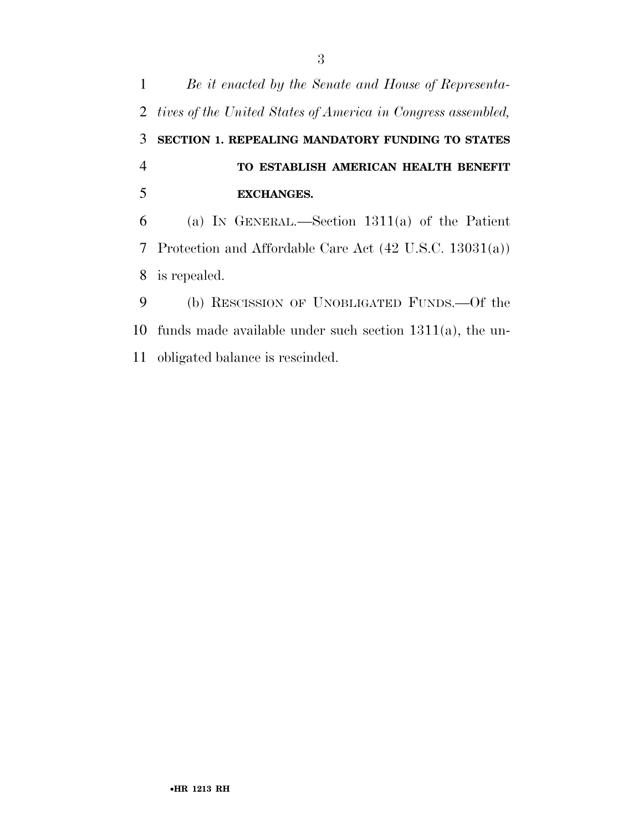*Be it enacted by the Senate and House of Representa- tives of the United States of America in Congress assembled,*  **SECTION 1. REPEALING MANDATORY FUNDING TO STATES TO ESTABLISH AMERICAN HEALTH BENEFIT EXCHANGES.**  (a) IN GENERAL.—Section 1311(a) of the Patient Protection and Affordable Care Act (42 U.S.C. 13031(a)) is repealed. (b) RESCISSION OF UNOBLIGATED FUNDS.—Of the funds made available under such section 1311(a), the un-obligated balance is rescinded.